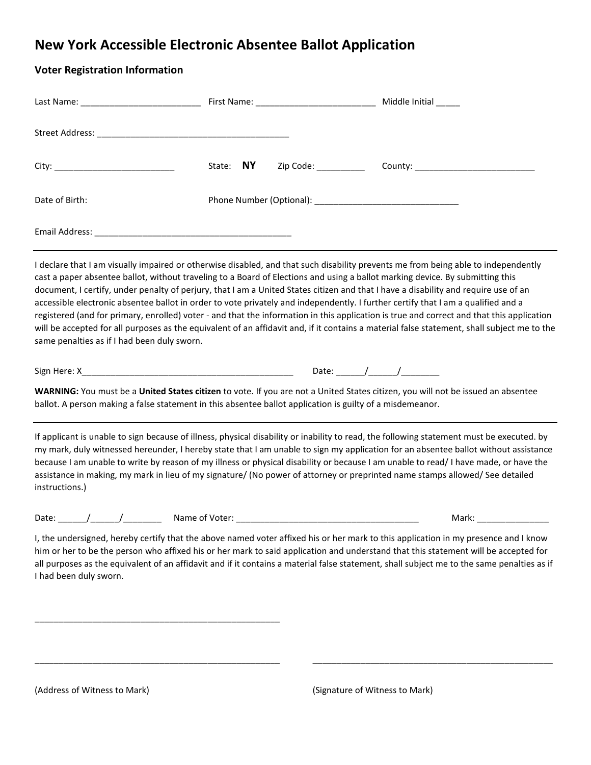## **New York Accessible Electronic Absentee Ballot Application**

| <b>Voter Registration Information</b>                                                                     |           |                                                                                                                                                                                                                                                                                                                                                                                                                                                                                                                                                                                                                                                                                                       |
|-----------------------------------------------------------------------------------------------------------|-----------|-------------------------------------------------------------------------------------------------------------------------------------------------------------------------------------------------------------------------------------------------------------------------------------------------------------------------------------------------------------------------------------------------------------------------------------------------------------------------------------------------------------------------------------------------------------------------------------------------------------------------------------------------------------------------------------------------------|
|                                                                                                           |           |                                                                                                                                                                                                                                                                                                                                                                                                                                                                                                                                                                                                                                                                                                       |
|                                                                                                           |           |                                                                                                                                                                                                                                                                                                                                                                                                                                                                                                                                                                                                                                                                                                       |
|                                                                                                           | State: NY | Zip Code: 2000<br>County: ________________________                                                                                                                                                                                                                                                                                                                                                                                                                                                                                                                                                                                                                                                    |
| Date of Birth:                                                                                            |           |                                                                                                                                                                                                                                                                                                                                                                                                                                                                                                                                                                                                                                                                                                       |
|                                                                                                           |           |                                                                                                                                                                                                                                                                                                                                                                                                                                                                                                                                                                                                                                                                                                       |
| same penalties as if I had been duly sworn.                                                               |           | cast a paper absentee ballot, without traveling to a Board of Elections and using a ballot marking device. By submitting this<br>document, I certify, under penalty of perjury, that I am a United States citizen and that I have a disability and require use of an<br>accessible electronic absentee ballot in order to vote privately and independently. I further certify that I am a qualified and a<br>registered (and for primary, enrolled) voter - and that the information in this application is true and correct and that this application<br>will be accepted for all purposes as the equivalent of an affidavit and, if it contains a material false statement, shall subject me to the |
| ballot. A person making a false statement in this absentee ballot application is guilty of a misdemeanor. |           | WARNING: You must be a United States citizen to vote. If you are not a United States citizen, you will not be issued an absentee                                                                                                                                                                                                                                                                                                                                                                                                                                                                                                                                                                      |
| instructions.)                                                                                            |           | If applicant is unable to sign because of illness, physical disability or inability to read, the following statement must be executed. by<br>my mark, duly witnessed hereunder, I hereby state that I am unable to sign my application for an absentee ballot without assistance<br>because I am unable to write by reason of my illness or physical disability or because I am unable to read/I have made, or have the<br>assistance in making, my mark in lieu of my signature/ (No power of attorney or preprinted name stamps allowed/ See detailed                                                                                                                                               |
| Date:                                                                                                     |           | Mark:                                                                                                                                                                                                                                                                                                                                                                                                                                                                                                                                                                                                                                                                                                 |
| I had been duly sworn.                                                                                    |           | I, the undersigned, hereby certify that the above named voter affixed his or her mark to this application in my presence and I know<br>him or her to be the person who affixed his or her mark to said application and understand that this statement will be accepted for<br>all purposes as the equivalent of an affidavit and if it contains a material false statement, shall subject me to the same penalties as if                                                                                                                                                                                                                                                                              |
|                                                                                                           |           |                                                                                                                                                                                                                                                                                                                                                                                                                                                                                                                                                                                                                                                                                                       |

\_\_\_\_\_\_\_\_\_\_\_\_\_\_\_\_\_\_\_\_\_\_\_\_\_\_\_\_\_\_\_\_\_\_\_\_\_\_\_\_\_\_\_\_\_\_\_\_\_\_\_ \_\_\_\_\_\_\_\_\_\_\_\_\_\_\_\_\_\_\_\_\_\_\_\_\_\_\_\_\_\_\_\_\_\_\_\_\_\_\_\_\_\_\_\_\_\_\_\_\_\_